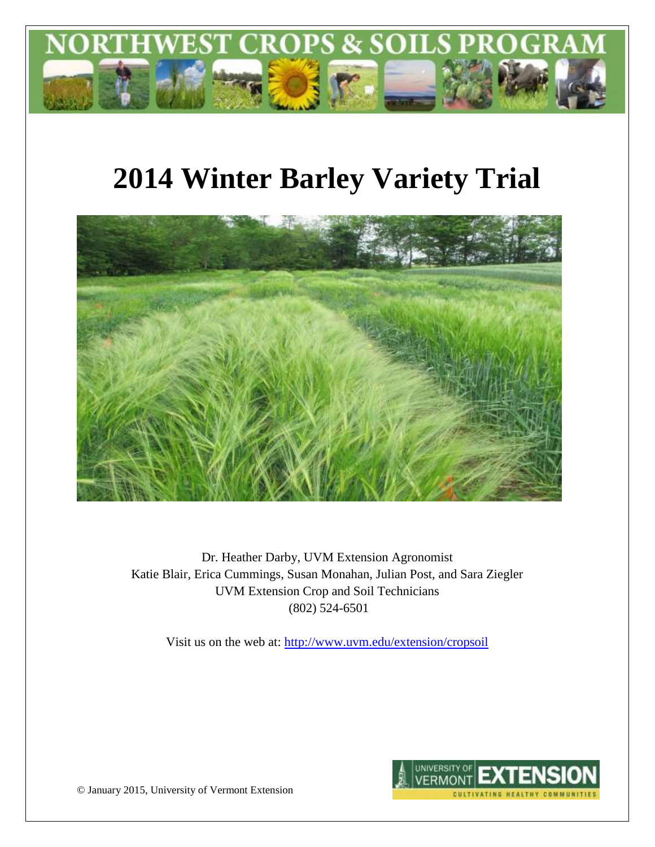

# **2014 Winter Barley Variety Trial**



Dr. Heather Darby, UVM Extension Agronomist Katie Blair, Erica Cummings, Susan Monahan, Julian Post, and Sara Ziegler UVM Extension Crop and Soil Technicians (802) 524-6501

Visit us on the web at:<http://www.uvm.edu/extension/cropsoil>



© January 2015, University of Vermont Extension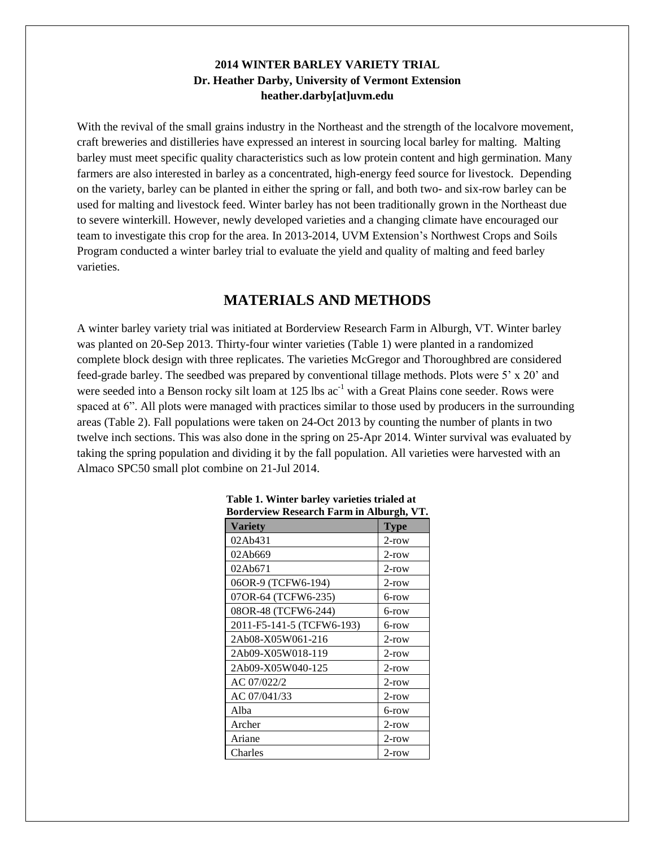### **2014 WINTER BARLEY VARIETY TRIAL Dr. Heather Darby, University of Vermont Extension heather.darby[at]uvm.edu**

With the revival of the small grains industry in the Northeast and the strength of the localvore movement, craft breweries and distilleries have expressed an interest in sourcing local barley for malting. Malting barley must meet specific quality characteristics such as low protein content and high germination. Many farmers are also interested in barley as a concentrated, high-energy feed source for livestock. Depending on the variety, barley can be planted in either the spring or fall, and both two- and six-row barley can be used for malting and livestock feed. Winter barley has not been traditionally grown in the Northeast due to severe winterkill. However, newly developed varieties and a changing climate have encouraged our team to investigate this crop for the area. In 2013-2014, UVM Extension's Northwest Crops and Soils Program conducted a winter barley trial to evaluate the yield and quality of malting and feed barley varieties.

## **MATERIALS AND METHODS**

A winter barley variety trial was initiated at Borderview Research Farm in Alburgh, VT. Winter barley was planted on 20-Sep 2013. Thirty-four winter varieties (Table 1) were planted in a randomized complete block design with three replicates. The varieties McGregor and Thoroughbred are considered feed-grade barley. The seedbed was prepared by conventional tillage methods. Plots were 5' x 20' and were seeded into a Benson rocky silt loam at 125 lbs  $ac^{-1}$  with a Great Plains cone seeder. Rows were spaced at 6". All plots were managed with practices similar to those used by producers in the surrounding areas (Table 2). Fall populations were taken on 24-Oct 2013 by counting the number of plants in two twelve inch sections. This was also done in the spring on 25-Apr 2014. Winter survival was evaluated by taking the spring population and dividing it by the fall population. All varieties were harvested with an Almaco SPC50 small plot combine on 21-Jul 2014.

| $\alpha$ activity research Farm in Thourgh, y F. |             |
|--------------------------------------------------|-------------|
| Varietv                                          | <b>Type</b> |
| 02Ab431                                          | $2$ -row    |
| 02Ab669                                          | $2$ -row    |
| 02Ab671                                          | 2-row       |
| 06OR-9 (TCFW6-194)                               | 2-row       |
| 07OR-64 (TCFW6-235)                              | 6-row       |
| 08OR-48 (TCFW6-244)                              | 6-row       |
| 2011-F5-141-5 (TCFW6-193)                        | 6-row       |
| 2Ab08-X05W061-216                                | $2$ -row    |
| 2Ab09-X05W018-119                                | $2$ -row    |
| 2Ab09-X05W040-125                                | $2$ -row    |
| AC 07/022/2                                      | $2$ -row    |
| AC 07/041/33                                     | $2$ -row    |
| Alba                                             | 6-row       |
| Archer                                           | $2$ -row    |
| Ariane                                           | $2$ -row    |
| Charles                                          | 2-row       |

| Table 1. Winter barley varieties trialed at |  |
|---------------------------------------------|--|
| Borderview Research Farm in Alburgh, VT.    |  |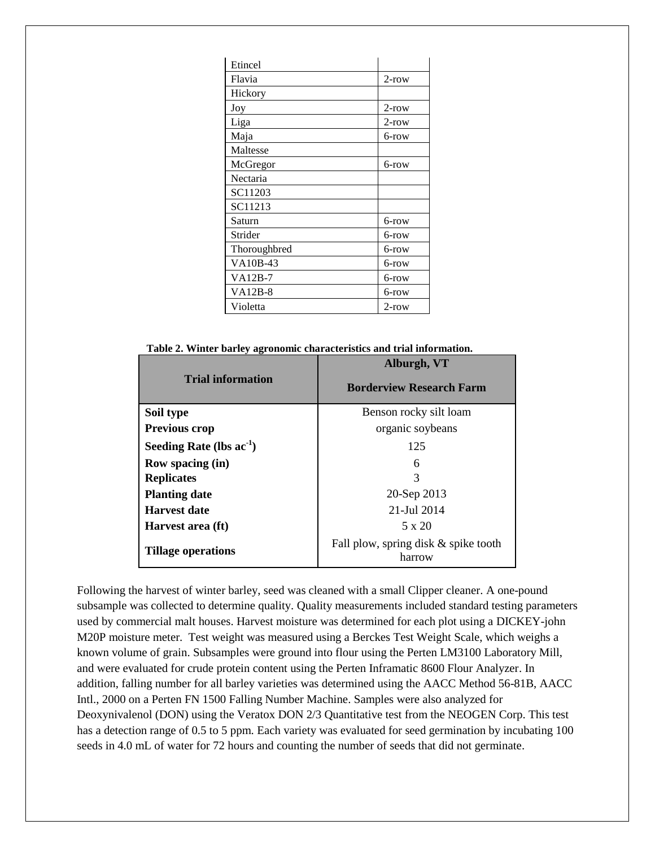| Etincel        |          |
|----------------|----------|
| Flavia         | $2$ -row |
| Hickory        |          |
| Joy            | $2$ -row |
| Liga           | $2$ -row |
| Maja           | 6-row    |
| Maltesse       |          |
| McGregor       | 6-row    |
| Nectaria       |          |
| SC11203        |          |
| SC11213        |          |
| Saturn         | 6-row    |
| Strider        | 6-row    |
| Thoroughbred   | 6-row    |
| VA10B-43       | 6-row    |
| $VA12B-7$      | 6-row    |
| <b>VA12B-8</b> | 6-row    |
| Violetta       | $2$ -row |

 **Table 2. Winter barley agronomic characteristics and trial information.**

|                               | Alburgh, VT                                      |  |  |  |
|-------------------------------|--------------------------------------------------|--|--|--|
| <b>Trial information</b>      | <b>Borderview Research Farm</b>                  |  |  |  |
| Soil type                     | Benson rocky silt loam                           |  |  |  |
| <b>Previous crop</b>          | organic soybeans                                 |  |  |  |
| Seeding Rate (lbs $ac^{-1}$ ) | 125                                              |  |  |  |
| <b>Row spacing (in)</b>       | 6                                                |  |  |  |
| <b>Replicates</b>             | 3                                                |  |  |  |
| <b>Planting date</b>          | 20-Sep 2013                                      |  |  |  |
| <b>Harvest date</b>           | 21-Jul 2014                                      |  |  |  |
| Harvest area (ft)             | 5 x 20                                           |  |  |  |
| <b>Tillage operations</b>     | Fall plow, spring disk $&$ spike tooth<br>harrow |  |  |  |

Following the harvest of winter barley, seed was cleaned with a small Clipper cleaner. A one-pound subsample was collected to determine quality. Quality measurements included standard testing parameters used by commercial malt houses. Harvest moisture was determined for each plot using a DICKEY-john M20P moisture meter. Test weight was measured using a Berckes Test Weight Scale, which weighs a known volume of grain. Subsamples were ground into flour using the Perten LM3100 Laboratory Mill, and were evaluated for crude protein content using the Perten Inframatic 8600 Flour Analyzer. In addition, falling number for all barley varieties was determined using the AACC Method 56-81B, AACC Intl., 2000 on a Perten FN 1500 Falling Number Machine. Samples were also analyzed for Deoxynivalenol (DON) using the Veratox DON 2/3 Quantitative test from the NEOGEN Corp. This test has a detection range of 0.5 to 5 ppm. Each variety was evaluated for seed germination by incubating 100 seeds in 4.0 mL of water for 72 hours and counting the number of seeds that did not germinate.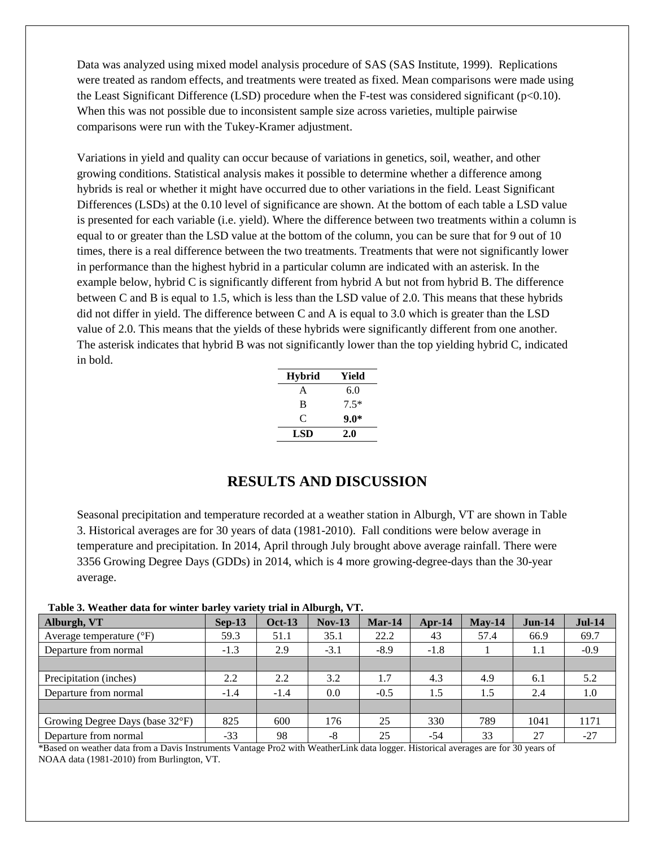Data was analyzed using mixed model analysis procedure of SAS (SAS Institute, 1999). Replications were treated as random effects, and treatments were treated as fixed. Mean comparisons were made using the Least Significant Difference (LSD) procedure when the F-test was considered significant ( $p<0.10$ ). When this was not possible due to inconsistent sample size across varieties, multiple pairwise comparisons were run with the Tukey-Kramer adjustment.

Variations in yield and quality can occur because of variations in genetics, soil, weather, and other growing conditions. Statistical analysis makes it possible to determine whether a difference among hybrids is real or whether it might have occurred due to other variations in the field. Least Significant Differences (LSDs) at the 0.10 level of significance are shown. At the bottom of each table a LSD value is presented for each variable (i.e. yield). Where the difference between two treatments within a column is equal to or greater than the LSD value at the bottom of the column, you can be sure that for 9 out of 10 times, there is a real difference between the two treatments. Treatments that were not significantly lower in performance than the highest hybrid in a particular column are indicated with an asterisk. In the example below, hybrid C is significantly different from hybrid A but not from hybrid B. The difference between C and B is equal to 1.5, which is less than the LSD value of 2.0. This means that these hybrids did not differ in yield. The difference between C and A is equal to 3.0 which is greater than the LSD value of 2.0. This means that the yields of these hybrids were significantly different from one another. The asterisk indicates that hybrid B was not significantly lower than the top yielding hybrid C, indicated in bold.

| Hybrid     | Yield  |
|------------|--------|
| A          | 6.0    |
| B          | $7.5*$ |
| C          | 9.0*   |
| <b>LSD</b> | 2.0    |

## **RESULTS AND DISCUSSION**

Seasonal precipitation and temperature recorded at a weather station in Alburgh, VT are shown in Table 3. Historical averages are for 30 years of data (1981-2010). Fall conditions were below average in temperature and precipitation. In 2014, April through July brought above average rainfall. There were 3356 Growing Degree Days (GDDs) in 2014, which is 4 more growing-degree-days than the 30-year average.

| Table 3. Weather data for winter barley variety trial in Alburgh, VT. |  |  |  |  |
|-----------------------------------------------------------------------|--|--|--|--|
|                                                                       |  |  |  |  |

| Alburgh, VT                       | $Sep-13$ | <b>Oct-13</b> | $Nov-13$ | $Mar-14$ | Apr- $14$ | $May-14$ | $Jun-14$ | $Jul-14$ |
|-----------------------------------|----------|---------------|----------|----------|-----------|----------|----------|----------|
| Average temperature $(^{\circ}F)$ | 59.3     | 51.1          | 35.1     | 22.2     | 43        | 57.4     | 66.9     | 69.7     |
| Departure from normal             | $-1.3$   | 2.9           | $-3.1$   | $-8.9$   | $-1.8$    |          | 1.1      | $-0.9$   |
|                                   |          |               |          |          |           |          |          |          |
| Precipitation (inches)            | 2.2      | 2.2           | 3.2      | 1.7      | 4.3       | 4.9      | 6.1      | 5.2      |
| Departure from normal             | $-1.4$   | $-1.4$        | 0.0      | $-0.5$   | 1.5       | 1.5      | 2.4      | 1.0      |
|                                   |          |               |          |          |           |          |          |          |
| Growing Degree Days (base 32°F)   | 825      | 600           | 176      | 25       | 330       | 789      | 1041     | 1171     |
| Departure from normal             | $-33$    | 98            | -8       | 25       | $-54$     | 33       | 27       | $-27$    |

\*Based on weather data from a Davis Instruments Vantage Pro2 with WeatherLink data logger. Historical averages are for 30 years of NOAA data (1981-2010) from Burlington, VT.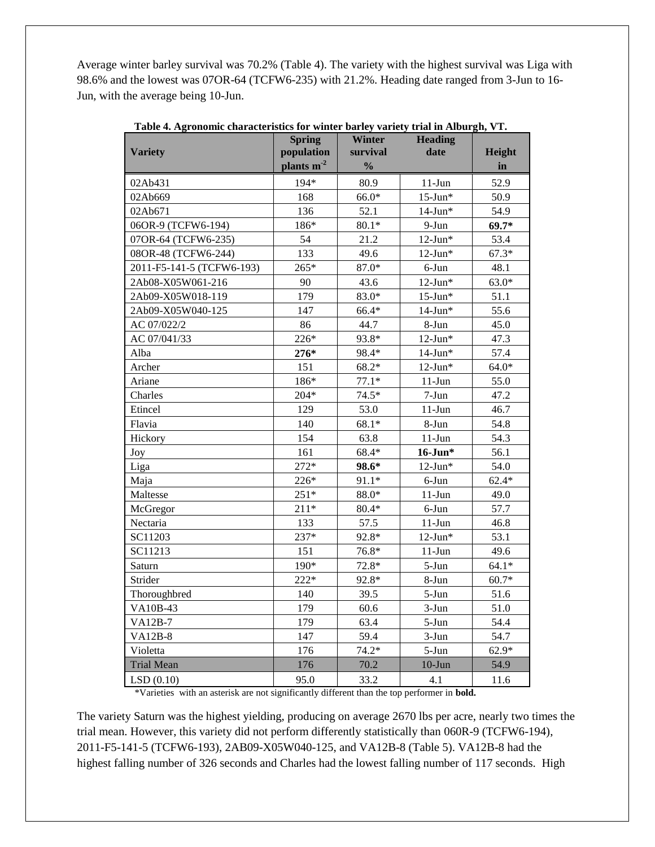Average winter barley survival was 70.2% (Table 4). The variety with the highest survival was Liga with 98.6% and the lowest was 07OR-64 (TCFW6-235) with 21.2%. Heading date ranged from 3-Jun to 16- Jun, with the average being 10-Jun.

|                           | <b>Spring</b> | <b>Winter</b> | <b>Heading</b> |         |
|---------------------------|---------------|---------------|----------------|---------|
| <b>Variety</b>            | population    | survival      | date           | Height  |
|                           | plants $m2$   | $\frac{0}{0}$ |                | in      |
| 02Ab431                   | 194*          | 80.9          | $11-Jun$       | 52.9    |
| 02Ab669                   | 168           | $66.0*$       | $15$ -Jun*     | 50.9    |
| 02Ab671                   | 136           | 52.1          | $14$ -Jun*     | 54.9    |
| 06OR-9 (TCFW6-194)        | 186*          | $80.1*$       | $9-Jun$        | $69.7*$ |
| 07OR-64 (TCFW6-235)       | 54            | 21.2          | $12$ -Jun*     | 53.4    |
| 08OR-48 (TCFW6-244)       | 133           | 49.6          | $12$ -Jun*     | $67.3*$ |
| 2011-F5-141-5 (TCFW6-193) | $265*$        | 87.0*         | 6-Jun          | 48.1    |
| 2Ab08-X05W061-216         | 90            | 43.6          | $12$ -Jun*     | $63.0*$ |
| 2Ab09-X05W018-119         | 179           | 83.0*         | $15$ -Jun*     | 51.1    |
| 2Ab09-X05W040-125         | 147           | 66.4*         | $14$ -Jun*     | 55.6    |
| AC 07/022/2               | 86            | 44.7          | 8-Jun          | 45.0    |
| AC 07/041/33              | 226*          | 93.8*         | $12$ -Jun*     | 47.3    |
| Alba                      | $276*$        | 98.4*         | $14$ -Jun*     | 57.4    |
| Archer                    | 151           | $68.2*$       | $12$ -Jun*     | $64.0*$ |
| Ariane                    | 186*          | $77.1*$       | $11-Jun$       | 55.0    |
| Charles                   | $204*$        | $74.5*$       | $7-Jun$        | 47.2    |
| Etincel                   | 129           | 53.0          | $11-Jun$       | 46.7    |
| Flavia                    | 140           | $68.1*$       | 8-Jun          | 54.8    |
| Hickory                   | 154           | 63.8          | $11-J$ un      | 54.3    |
| Joy                       | 161           | 68.4*         | $16$ -Jun*     | 56.1    |
| Liga                      | $272*$        | 98.6*         | $12$ -Jun*     | 54.0    |
| Maja                      | $226*$        | 91.1*         | $6$ -Jun       | $62.4*$ |
| Maltesse                  | $251*$        | $88.0*$       | $11-Jun$       | 49.0    |
| McGregor                  | $211*$        | $80.4*$       | $6$ -Jun       | 57.7    |
| Nectaria                  | 133           | 57.5          | $11-Jun$       | 46.8    |
| SC11203                   | $237*$        | 92.8*         | $12$ -Jun*     | 53.1    |
| SC11213                   | 151           | 76.8*         | $11-Jun$       | 49.6    |
| Saturn                    | $190*$        | 72.8*         | $5-Jun$        | $64.1*$ |
| Strider                   | $222*$        | 92.8*         | 8-Jun          | $60.7*$ |
| Thoroughbred              | 140           | 39.5          | $5-Jun$        | 51.6    |
| VA10B-43                  | 179           | 60.6          | $3-Jun$        | 51.0    |
| <b>VA12B-7</b>            | 179           | 63.4          | $5-Jun$        | 54.4    |
| <b>VA12B-8</b>            | 147           | 59.4          | $3-Jun$        | 54.7    |
| Violetta                  | 176           | $74.2*$       | $5-Jun$        | $62.9*$ |
| <b>Trial Mean</b>         | 176           | 70.2          | $10-J$ un      | 54.9    |
| LSD(0.10)                 | 95.0          | 33.2          | 4.1            | 11.6    |

 **Table 4. Agronomic characteristics for winter barley variety trial in Alburgh, VT.**

\*Varieties with an asterisk are not significantly different than the top performer in **bold.**

The variety Saturn was the highest yielding, producing on average 2670 lbs per acre, nearly two times the trial mean. However, this variety did not perform differently statistically than 060R-9 (TCFW6-194), 2011-F5-141-5 (TCFW6-193), 2AB09-X05W040-125, and VA12B-8 (Table 5). VA12B-8 had the highest falling number of 326 seconds and Charles had the lowest falling number of 117 seconds. High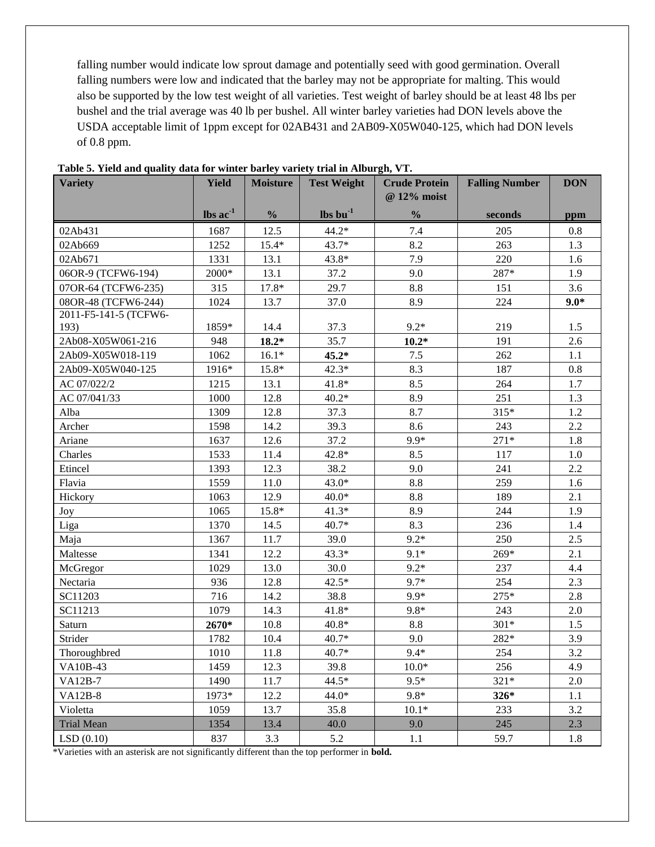falling number would indicate low sprout damage and potentially seed with good germination. Overall falling numbers were low and indicated that the barley may not be appropriate for malting. This would also be supported by the low test weight of all varieties. Test weight of barley should be at least 48 lbs per bushel and the trial average was 40 lb per bushel. All winter barley varieties had DON levels above the USDA acceptable limit of 1ppm except for 02AB431 and 2AB09-X05W040-125, which had DON levels of 0.8 ppm.

| $\text{lbs}$ ac $^{-1}$<br>$\mathbf{lbs}\mathbf{bu}^{-1}$<br>$\frac{0}{0}$<br>$\frac{0}{0}$<br>seconds<br>ppm<br>12.5<br>$44.2*$<br>7.4<br>0.8<br>02Ab431<br>1687<br>205<br>1252<br>$15.4*$<br>$43.7*$<br>8.2<br>263<br>1.3<br>02Ab669<br>1331<br>43.8*<br>7.9<br>220<br>02Ab671<br>13.1<br>1.6<br>287*<br>2000*<br>13.1<br>06OR-9 (TCFW6-194)<br>37.2<br>9.0<br>1.9<br>17.8*<br>29.7<br>$8.8\,$<br>3.6<br>07OR-64 (TCFW6-235)<br>315<br>151<br>08OR-48 (TCFW6-244)<br>8.9<br>224<br>$9.0*$<br>1024<br>13.7<br>37.0<br>2011-F5-141-5 (TCFW6-<br>193)<br>$9.2*$<br>1859*<br>14.4<br>219<br>1.5<br>37.3<br>$18.2*$<br>35.7<br>2Ab08-X05W061-216<br>$10.2*$<br>191<br>2.6<br>948<br>$45.2*$<br>$7.5$<br>262<br>2Ab09-X05W018-119<br>1062<br>$16.1*$<br>1.1<br>2Ab09-X05W040-125<br>1916*<br>15.8*<br>$42.3*$<br>8.3<br>187<br>0.8<br>8.5<br>AC 07/022/2<br>1215<br>13.1<br>$41.8*$<br>264<br>1.7<br>AC 07/041/33<br>1000<br>12.8<br>$40.2*$<br>8.9<br>251<br>1.3<br>Alba<br>1309<br>12.8<br>37.3<br>8.7<br>315*<br>1.2<br>14.2<br>8.6<br>243<br>$2.2\,$<br>1598<br>39.3<br>Archer<br>$271*$<br>12.6<br>37.2<br>$9.9*$<br>Ariane<br>1637<br>1.8<br>42.8*<br>8.5<br>1533<br>11.4<br>117<br>1.0<br>Charles<br>Etincel<br>9.0<br>241<br>1393<br>12.3<br>38.2<br>2.2<br>$43.0*$<br>8.8<br>259<br>Flavia<br>1559<br>11.0<br>1.6<br>12.9<br>$40.0*$<br>189<br>2.1<br>Hickory<br>1063<br>8.8<br>15.8*<br>$41.3*$<br>8.9<br>244<br>1065<br>1.9<br>Joy<br>236<br>14.5<br>40.7*<br>8.3<br>Liga<br>1370<br>1.4<br>$9.2*$<br>250<br>2.5<br>Maja<br>1367<br>11.7<br>39.0<br>269*<br>2.1<br>Maltesse<br>1341<br>12.2<br>$43.3*$<br>$9.1*$<br>$9.2*$<br>1029<br>13.0<br>30.0<br>237<br>4.4<br>McGregor<br>12.8<br>$42.5*$<br>$9.7*$<br>254<br>2.3<br>Nectaria<br>936<br>275*<br>716<br>14.2<br>9.9*<br>2.8<br>SC11203<br>38.8<br>$9.8*$<br>SC11213<br>1079<br>14.3<br>$41.8*$<br>243<br>2.0<br>2670*<br>$40.8*$<br>$301*$<br>Saturn<br>10.8<br>8.8<br>1.5<br>Strider<br>$40.7*$<br>1782<br>10.4<br>9.0<br>282*<br>3.9<br>3.2<br>11.8<br>$9.4*$<br>254<br>Thoroughbred<br>1010<br>$40.7*$<br>1459<br>12.3<br>$10.0*$<br>256<br>4.9<br>VA10B-43<br>39.8<br>$9.5*$<br>$44.5*$<br>$321*$<br>$VA12B-7$<br>1490<br>11.7<br>2.0<br>$9.8*$<br><b>VA12B-8</b><br>12.2<br>1.1<br>1973*<br>$44.0*$<br>326*<br>233<br>3.2<br>Violetta<br>1059<br>13.7<br>35.8<br>$10.1*$<br>245<br>2.3<br><b>Trial Mean</b><br>1354<br>13.4<br>40.0<br>9.0<br>LSD(0.10)<br>837<br>3.3<br>5.2<br>59.7<br>1.1<br>1.8 | <b>Variety</b> | <b>Yield</b> | <b>Moisture</b> | <b>Test Weight</b> | <b>Crude Protein</b><br>@ 12% moist | <b>Falling Number</b> | <b>DON</b> |
|---------------------------------------------------------------------------------------------------------------------------------------------------------------------------------------------------------------------------------------------------------------------------------------------------------------------------------------------------------------------------------------------------------------------------------------------------------------------------------------------------------------------------------------------------------------------------------------------------------------------------------------------------------------------------------------------------------------------------------------------------------------------------------------------------------------------------------------------------------------------------------------------------------------------------------------------------------------------------------------------------------------------------------------------------------------------------------------------------------------------------------------------------------------------------------------------------------------------------------------------------------------------------------------------------------------------------------------------------------------------------------------------------------------------------------------------------------------------------------------------------------------------------------------------------------------------------------------------------------------------------------------------------------------------------------------------------------------------------------------------------------------------------------------------------------------------------------------------------------------------------------------------------------------------------------------------------------------------------------------------------------------------------------------------------------------------------------------------------------------------------------------------------------------------------------------------------------------------------------------------------------------------------------------------------------------------------------------------------------------------------------------------------------------------------------------------------------------------|----------------|--------------|-----------------|--------------------|-------------------------------------|-----------------------|------------|
|                                                                                                                                                                                                                                                                                                                                                                                                                                                                                                                                                                                                                                                                                                                                                                                                                                                                                                                                                                                                                                                                                                                                                                                                                                                                                                                                                                                                                                                                                                                                                                                                                                                                                                                                                                                                                                                                                                                                                                                                                                                                                                                                                                                                                                                                                                                                                                                                                                                                     |                |              |                 |                    |                                     |                       |            |
|                                                                                                                                                                                                                                                                                                                                                                                                                                                                                                                                                                                                                                                                                                                                                                                                                                                                                                                                                                                                                                                                                                                                                                                                                                                                                                                                                                                                                                                                                                                                                                                                                                                                                                                                                                                                                                                                                                                                                                                                                                                                                                                                                                                                                                                                                                                                                                                                                                                                     |                |              |                 |                    |                                     |                       |            |
|                                                                                                                                                                                                                                                                                                                                                                                                                                                                                                                                                                                                                                                                                                                                                                                                                                                                                                                                                                                                                                                                                                                                                                                                                                                                                                                                                                                                                                                                                                                                                                                                                                                                                                                                                                                                                                                                                                                                                                                                                                                                                                                                                                                                                                                                                                                                                                                                                                                                     |                |              |                 |                    |                                     |                       |            |
|                                                                                                                                                                                                                                                                                                                                                                                                                                                                                                                                                                                                                                                                                                                                                                                                                                                                                                                                                                                                                                                                                                                                                                                                                                                                                                                                                                                                                                                                                                                                                                                                                                                                                                                                                                                                                                                                                                                                                                                                                                                                                                                                                                                                                                                                                                                                                                                                                                                                     |                |              |                 |                    |                                     |                       |            |
|                                                                                                                                                                                                                                                                                                                                                                                                                                                                                                                                                                                                                                                                                                                                                                                                                                                                                                                                                                                                                                                                                                                                                                                                                                                                                                                                                                                                                                                                                                                                                                                                                                                                                                                                                                                                                                                                                                                                                                                                                                                                                                                                                                                                                                                                                                                                                                                                                                                                     |                |              |                 |                    |                                     |                       |            |
|                                                                                                                                                                                                                                                                                                                                                                                                                                                                                                                                                                                                                                                                                                                                                                                                                                                                                                                                                                                                                                                                                                                                                                                                                                                                                                                                                                                                                                                                                                                                                                                                                                                                                                                                                                                                                                                                                                                                                                                                                                                                                                                                                                                                                                                                                                                                                                                                                                                                     |                |              |                 |                    |                                     |                       |            |
|                                                                                                                                                                                                                                                                                                                                                                                                                                                                                                                                                                                                                                                                                                                                                                                                                                                                                                                                                                                                                                                                                                                                                                                                                                                                                                                                                                                                                                                                                                                                                                                                                                                                                                                                                                                                                                                                                                                                                                                                                                                                                                                                                                                                                                                                                                                                                                                                                                                                     |                |              |                 |                    |                                     |                       |            |
|                                                                                                                                                                                                                                                                                                                                                                                                                                                                                                                                                                                                                                                                                                                                                                                                                                                                                                                                                                                                                                                                                                                                                                                                                                                                                                                                                                                                                                                                                                                                                                                                                                                                                                                                                                                                                                                                                                                                                                                                                                                                                                                                                                                                                                                                                                                                                                                                                                                                     |                |              |                 |                    |                                     |                       |            |
|                                                                                                                                                                                                                                                                                                                                                                                                                                                                                                                                                                                                                                                                                                                                                                                                                                                                                                                                                                                                                                                                                                                                                                                                                                                                                                                                                                                                                                                                                                                                                                                                                                                                                                                                                                                                                                                                                                                                                                                                                                                                                                                                                                                                                                                                                                                                                                                                                                                                     |                |              |                 |                    |                                     |                       |            |
|                                                                                                                                                                                                                                                                                                                                                                                                                                                                                                                                                                                                                                                                                                                                                                                                                                                                                                                                                                                                                                                                                                                                                                                                                                                                                                                                                                                                                                                                                                                                                                                                                                                                                                                                                                                                                                                                                                                                                                                                                                                                                                                                                                                                                                                                                                                                                                                                                                                                     |                |              |                 |                    |                                     |                       |            |
|                                                                                                                                                                                                                                                                                                                                                                                                                                                                                                                                                                                                                                                                                                                                                                                                                                                                                                                                                                                                                                                                                                                                                                                                                                                                                                                                                                                                                                                                                                                                                                                                                                                                                                                                                                                                                                                                                                                                                                                                                                                                                                                                                                                                                                                                                                                                                                                                                                                                     |                |              |                 |                    |                                     |                       |            |
|                                                                                                                                                                                                                                                                                                                                                                                                                                                                                                                                                                                                                                                                                                                                                                                                                                                                                                                                                                                                                                                                                                                                                                                                                                                                                                                                                                                                                                                                                                                                                                                                                                                                                                                                                                                                                                                                                                                                                                                                                                                                                                                                                                                                                                                                                                                                                                                                                                                                     |                |              |                 |                    |                                     |                       |            |
|                                                                                                                                                                                                                                                                                                                                                                                                                                                                                                                                                                                                                                                                                                                                                                                                                                                                                                                                                                                                                                                                                                                                                                                                                                                                                                                                                                                                                                                                                                                                                                                                                                                                                                                                                                                                                                                                                                                                                                                                                                                                                                                                                                                                                                                                                                                                                                                                                                                                     |                |              |                 |                    |                                     |                       |            |
|                                                                                                                                                                                                                                                                                                                                                                                                                                                                                                                                                                                                                                                                                                                                                                                                                                                                                                                                                                                                                                                                                                                                                                                                                                                                                                                                                                                                                                                                                                                                                                                                                                                                                                                                                                                                                                                                                                                                                                                                                                                                                                                                                                                                                                                                                                                                                                                                                                                                     |                |              |                 |                    |                                     |                       |            |
|                                                                                                                                                                                                                                                                                                                                                                                                                                                                                                                                                                                                                                                                                                                                                                                                                                                                                                                                                                                                                                                                                                                                                                                                                                                                                                                                                                                                                                                                                                                                                                                                                                                                                                                                                                                                                                                                                                                                                                                                                                                                                                                                                                                                                                                                                                                                                                                                                                                                     |                |              |                 |                    |                                     |                       |            |
|                                                                                                                                                                                                                                                                                                                                                                                                                                                                                                                                                                                                                                                                                                                                                                                                                                                                                                                                                                                                                                                                                                                                                                                                                                                                                                                                                                                                                                                                                                                                                                                                                                                                                                                                                                                                                                                                                                                                                                                                                                                                                                                                                                                                                                                                                                                                                                                                                                                                     |                |              |                 |                    |                                     |                       |            |
|                                                                                                                                                                                                                                                                                                                                                                                                                                                                                                                                                                                                                                                                                                                                                                                                                                                                                                                                                                                                                                                                                                                                                                                                                                                                                                                                                                                                                                                                                                                                                                                                                                                                                                                                                                                                                                                                                                                                                                                                                                                                                                                                                                                                                                                                                                                                                                                                                                                                     |                |              |                 |                    |                                     |                       |            |
|                                                                                                                                                                                                                                                                                                                                                                                                                                                                                                                                                                                                                                                                                                                                                                                                                                                                                                                                                                                                                                                                                                                                                                                                                                                                                                                                                                                                                                                                                                                                                                                                                                                                                                                                                                                                                                                                                                                                                                                                                                                                                                                                                                                                                                                                                                                                                                                                                                                                     |                |              |                 |                    |                                     |                       |            |
|                                                                                                                                                                                                                                                                                                                                                                                                                                                                                                                                                                                                                                                                                                                                                                                                                                                                                                                                                                                                                                                                                                                                                                                                                                                                                                                                                                                                                                                                                                                                                                                                                                                                                                                                                                                                                                                                                                                                                                                                                                                                                                                                                                                                                                                                                                                                                                                                                                                                     |                |              |                 |                    |                                     |                       |            |
|                                                                                                                                                                                                                                                                                                                                                                                                                                                                                                                                                                                                                                                                                                                                                                                                                                                                                                                                                                                                                                                                                                                                                                                                                                                                                                                                                                                                                                                                                                                                                                                                                                                                                                                                                                                                                                                                                                                                                                                                                                                                                                                                                                                                                                                                                                                                                                                                                                                                     |                |              |                 |                    |                                     |                       |            |
|                                                                                                                                                                                                                                                                                                                                                                                                                                                                                                                                                                                                                                                                                                                                                                                                                                                                                                                                                                                                                                                                                                                                                                                                                                                                                                                                                                                                                                                                                                                                                                                                                                                                                                                                                                                                                                                                                                                                                                                                                                                                                                                                                                                                                                                                                                                                                                                                                                                                     |                |              |                 |                    |                                     |                       |            |
|                                                                                                                                                                                                                                                                                                                                                                                                                                                                                                                                                                                                                                                                                                                                                                                                                                                                                                                                                                                                                                                                                                                                                                                                                                                                                                                                                                                                                                                                                                                                                                                                                                                                                                                                                                                                                                                                                                                                                                                                                                                                                                                                                                                                                                                                                                                                                                                                                                                                     |                |              |                 |                    |                                     |                       |            |
|                                                                                                                                                                                                                                                                                                                                                                                                                                                                                                                                                                                                                                                                                                                                                                                                                                                                                                                                                                                                                                                                                                                                                                                                                                                                                                                                                                                                                                                                                                                                                                                                                                                                                                                                                                                                                                                                                                                                                                                                                                                                                                                                                                                                                                                                                                                                                                                                                                                                     |                |              |                 |                    |                                     |                       |            |
|                                                                                                                                                                                                                                                                                                                                                                                                                                                                                                                                                                                                                                                                                                                                                                                                                                                                                                                                                                                                                                                                                                                                                                                                                                                                                                                                                                                                                                                                                                                                                                                                                                                                                                                                                                                                                                                                                                                                                                                                                                                                                                                                                                                                                                                                                                                                                                                                                                                                     |                |              |                 |                    |                                     |                       |            |
|                                                                                                                                                                                                                                                                                                                                                                                                                                                                                                                                                                                                                                                                                                                                                                                                                                                                                                                                                                                                                                                                                                                                                                                                                                                                                                                                                                                                                                                                                                                                                                                                                                                                                                                                                                                                                                                                                                                                                                                                                                                                                                                                                                                                                                                                                                                                                                                                                                                                     |                |              |                 |                    |                                     |                       |            |
|                                                                                                                                                                                                                                                                                                                                                                                                                                                                                                                                                                                                                                                                                                                                                                                                                                                                                                                                                                                                                                                                                                                                                                                                                                                                                                                                                                                                                                                                                                                                                                                                                                                                                                                                                                                                                                                                                                                                                                                                                                                                                                                                                                                                                                                                                                                                                                                                                                                                     |                |              |                 |                    |                                     |                       |            |
|                                                                                                                                                                                                                                                                                                                                                                                                                                                                                                                                                                                                                                                                                                                                                                                                                                                                                                                                                                                                                                                                                                                                                                                                                                                                                                                                                                                                                                                                                                                                                                                                                                                                                                                                                                                                                                                                                                                                                                                                                                                                                                                                                                                                                                                                                                                                                                                                                                                                     |                |              |                 |                    |                                     |                       |            |
|                                                                                                                                                                                                                                                                                                                                                                                                                                                                                                                                                                                                                                                                                                                                                                                                                                                                                                                                                                                                                                                                                                                                                                                                                                                                                                                                                                                                                                                                                                                                                                                                                                                                                                                                                                                                                                                                                                                                                                                                                                                                                                                                                                                                                                                                                                                                                                                                                                                                     |                |              |                 |                    |                                     |                       |            |
|                                                                                                                                                                                                                                                                                                                                                                                                                                                                                                                                                                                                                                                                                                                                                                                                                                                                                                                                                                                                                                                                                                                                                                                                                                                                                                                                                                                                                                                                                                                                                                                                                                                                                                                                                                                                                                                                                                                                                                                                                                                                                                                                                                                                                                                                                                                                                                                                                                                                     |                |              |                 |                    |                                     |                       |            |
|                                                                                                                                                                                                                                                                                                                                                                                                                                                                                                                                                                                                                                                                                                                                                                                                                                                                                                                                                                                                                                                                                                                                                                                                                                                                                                                                                                                                                                                                                                                                                                                                                                                                                                                                                                                                                                                                                                                                                                                                                                                                                                                                                                                                                                                                                                                                                                                                                                                                     |                |              |                 |                    |                                     |                       |            |
|                                                                                                                                                                                                                                                                                                                                                                                                                                                                                                                                                                                                                                                                                                                                                                                                                                                                                                                                                                                                                                                                                                                                                                                                                                                                                                                                                                                                                                                                                                                                                                                                                                                                                                                                                                                                                                                                                                                                                                                                                                                                                                                                                                                                                                                                                                                                                                                                                                                                     |                |              |                 |                    |                                     |                       |            |
|                                                                                                                                                                                                                                                                                                                                                                                                                                                                                                                                                                                                                                                                                                                                                                                                                                                                                                                                                                                                                                                                                                                                                                                                                                                                                                                                                                                                                                                                                                                                                                                                                                                                                                                                                                                                                                                                                                                                                                                                                                                                                                                                                                                                                                                                                                                                                                                                                                                                     |                |              |                 |                    |                                     |                       |            |
|                                                                                                                                                                                                                                                                                                                                                                                                                                                                                                                                                                                                                                                                                                                                                                                                                                                                                                                                                                                                                                                                                                                                                                                                                                                                                                                                                                                                                                                                                                                                                                                                                                                                                                                                                                                                                                                                                                                                                                                                                                                                                                                                                                                                                                                                                                                                                                                                                                                                     |                |              |                 |                    |                                     |                       |            |
|                                                                                                                                                                                                                                                                                                                                                                                                                                                                                                                                                                                                                                                                                                                                                                                                                                                                                                                                                                                                                                                                                                                                                                                                                                                                                                                                                                                                                                                                                                                                                                                                                                                                                                                                                                                                                                                                                                                                                                                                                                                                                                                                                                                                                                                                                                                                                                                                                                                                     |                |              |                 |                    |                                     |                       |            |
|                                                                                                                                                                                                                                                                                                                                                                                                                                                                                                                                                                                                                                                                                                                                                                                                                                                                                                                                                                                                                                                                                                                                                                                                                                                                                                                                                                                                                                                                                                                                                                                                                                                                                                                                                                                                                                                                                                                                                                                                                                                                                                                                                                                                                                                                                                                                                                                                                                                                     |                |              |                 |                    |                                     |                       |            |
|                                                                                                                                                                                                                                                                                                                                                                                                                                                                                                                                                                                                                                                                                                                                                                                                                                                                                                                                                                                                                                                                                                                                                                                                                                                                                                                                                                                                                                                                                                                                                                                                                                                                                                                                                                                                                                                                                                                                                                                                                                                                                                                                                                                                                                                                                                                                                                                                                                                                     |                |              |                 |                    |                                     |                       |            |
|                                                                                                                                                                                                                                                                                                                                                                                                                                                                                                                                                                                                                                                                                                                                                                                                                                                                                                                                                                                                                                                                                                                                                                                                                                                                                                                                                                                                                                                                                                                                                                                                                                                                                                                                                                                                                                                                                                                                                                                                                                                                                                                                                                                                                                                                                                                                                                                                                                                                     |                |              |                 |                    |                                     |                       |            |
|                                                                                                                                                                                                                                                                                                                                                                                                                                                                                                                                                                                                                                                                                                                                                                                                                                                                                                                                                                                                                                                                                                                                                                                                                                                                                                                                                                                                                                                                                                                                                                                                                                                                                                                                                                                                                                                                                                                                                                                                                                                                                                                                                                                                                                                                                                                                                                                                                                                                     |                |              |                 |                    |                                     |                       |            |

**Table 5. Yield and quality data for winter barley variety trial in Alburgh, VT.**

\*Varieties with an asterisk are not significantly different than the top performer in **bold.**